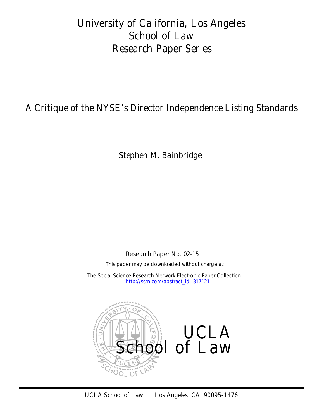# University of California, Los Angeles School of Law Research Paper Series

A Critique of the NYSE's Director Independence Listing Standards

Stephen M. Bainbridge

Research Paper No. 02-15 This paper may be downloaded without charge at:

The Social Science Research Network Electronic Paper Collection: [http://ssrn.com/abstract\\_id=317121](http://ssrn.com/abstract_id=317121)

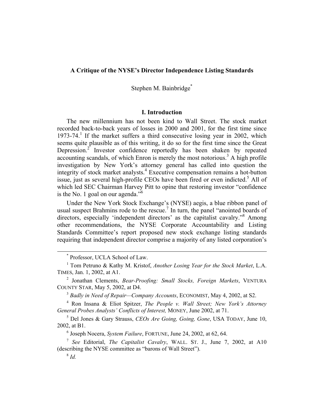# **A Critique of the NYSE's Director Independence Listing Standards**

Stephen M. Bainbridge<sup>\*</sup>

## **I. Introduction**

The new millennium has not been kind to Wall Street. The stock market recorded back-to-back years of losses in 2000 and 2001, for the first time since 1973-74.<sup>1</sup> If the market suffers a third consecutive losing year in 2002, which seems quite plausible as of this writing, it do so for the first time since the Great Depression.<sup>2</sup> Investor confidence reportedly has been shaken by repeated  $accounting$  scandals, of which Enron is merely the most notorious.<sup>3</sup> A high profile investigation by New York's attorney general has called into question the integrity of stock market analysts.<sup>4</sup> Executive compensation remains a hot-button issue, just as several high-profile CEOs have been fired or even indicted.<sup>5</sup> All of which led SEC Chairman Harvey Pitt to opine that restoring investor "confidence is the No. 1 goal on our agenda."<sup>6</sup>

Under the New York Stock Exchange's (NYSE) aegis, a blue ribbon panel of usual suspect Brahmins rode to the rescue.<sup>7</sup> In turn, the panel "anointed boards of directors, especially 'independent directors' as the capitalist cavalry."<sup>8</sup> Among other recommendations, the NYSE Corporate Accountability and Listing Standards Committee's report proposed new stock exchange listing standards requiring that independent director comprise a majority of any listed corporation's

\* Professor, UCLA School of Law.

1 Tom Petruno & Kathy M. Kristof, *Another Losing Year for the Stock Market*, L.A. TIMES, Jan. 1, 2002, at A1.

2 Jonathan Clements, *Bear-Proofing: Small Stocks, Foreign Markets*, VENTURA COUNTY STAR, May 5, 2002, at D4.

<sup>3</sup> *Badly in Need of Repair—Company Accounts*, ECONOMIST, May 4, 2002, at S2.

4 Ron Insana & Eliot Spitzer, *The People v. Wall Street; New York's Attorney General Probes Analysts' Conflicts of Interest,* MONEY, June 2002, at 71.

5 Del Jones & Gary Strauss, *CEOs Are Going, Going, Gone*, USA TODAY, June 10, 2002, at B1.

6 Joseph Nocera, *System Failure*, FORTUNE, June 24, 2002, at 62, 64.

<sup>7</sup> *See* Editorial, *The Capitalist Cavalry*, WALL. ST. J., June 7, 2002, at A10 (describing the NYSE committee as "barons of Wall Street").

<sup>8</sup> *Id.*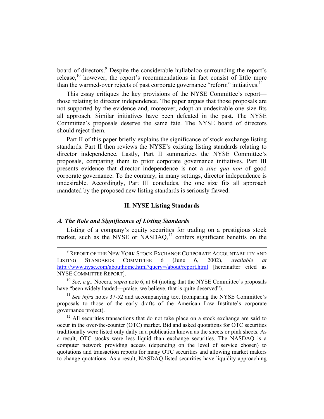board of directors.<sup>9</sup> Despite the considerable hullabaloo surrounding the report's release,<sup>10</sup> however, the report's recommendations in fact consist of little more than the warmed-over rejects of past corporate governance "reform" initiatives.<sup>11</sup>

This essay critiques the key provisions of the NYSE Committee's report those relating to director independence. The paper argues that those proposals are not supported by the evidence and, moreover, adopt an undesirable one size fits all approach. Similar initiatives have been defeated in the past. The NYSE Committee's proposals deserve the same fate. The NYSE board of directors should reject them.

Part II of this paper briefly explains the significance of stock exchange listing standards. Part II then reviews the NYSE's existing listing standards relating to director independence. Lastly, Part II summarizes the NYSE Committee's proposals, comparing them to prior corporate governance initiatives. Part III presents evidence that director independence is not a *sine qua non* of good corporate governance. To the contrary, in many settings, director independence is undesirable. Accordingly, Part III concludes, the one size fits all approach mandated by the proposed new listing standards is seriously flawed.

#### **II. NYSE Listing Standards**

#### *A. The Role and Significance of Listing Standards*

Listing of a company's equity securities for trading on a prestigious stock market, such as the NYSE or NASDAQ,<sup>12</sup> confers significant benefits on the

 9 REPORT OF THE NEW YORK STOCK EXCHANGE CORPORATE ACCOUNTABILITY AND LISTING STANDARDS COMMITTEE 6 (June 6, 2002), *available at* http://www.nyse.com/abouthome.html?query=/about/report.html [hereinafter cited as NYSE COMMITTEE REPORT].

<sup>10</sup> *See, e.g.,* Nocera, *supra* note 6, at 64 (noting that the NYSE Committee's proposals have "been widely lauded—praise, we believe, that is quite deserved").

 $11$  *See infra* notes 37-52 and accompanying text (comparing the NYSE Committee's proposals to those of the early drafts of the American Law Institute's corporate governance project).

 $12$  All securities transactions that do not take place on a stock exchange are said to occur in the over-the-counter (OTC) market. Bid and asked quotations for OTC securities traditionally were listed only daily in a publication known as the sheets or pink sheets. As a result, OTC stocks were less liquid than exchange securities. The NASDAQ is a computer network providing access (depending on the level of service chosen) to quotations and transaction reports for many OTC securities and allowing market makers to change quotations. As a result, NASDAQ-listed securities have liquidity approaching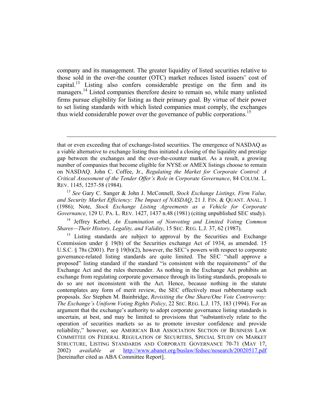company and its management. The greater liquidity of listed securities relative to those sold in the over-the counter (OTC) market reduces listed issuers' cost of capital.<sup>13</sup> Listing also confers considerable prestige on the firm and its managers.<sup>14</sup> Listed companies therefore desire to remain so, while many unlisted firms pursue eligibility for listing as their primary goal. By virtue of their power to set listing standards with which listed companies must comply, the exchanges thus wield considerable power over the governance of public corporations.<sup>15</sup>

 $\overline{a}$ 

<sup>13</sup> *See* Gary C. Sanger & John J. McConnell, *Stock Exchange Listings, Firm Value, and Security Market Efficiency: The Impact of NASDAQ*, 21 J. FIN. & QUANT. ANAL. 1 (1986); Note, *Stock Exchange Listing Agreements as a Vehicle for Corporate Governance*, 129 U. PA. L. REV. 1427, 1437 n.48 (1981) (citing unpublished SEC study).

14 Jeffrey Kerbel, *An Examination of Nonvoting and Limited Voting Common Shares—Their History, Legality, and Validity*, 15 SEC. REG. L.J. 37, 62 (1987).

<sup>15</sup> Listing standards are subject to approval by the Securities and Exchange Commission under § 19(b) of the Securities exchange Act of 1934, as amended. 15 U.S.C. § 78s (2001). Per § 19(b)(2), however, the SEC's powers with respect to corporate governance-related listing standards are quite limited. The SEC "shall approve a proposed" listing standard if the standard "is consistent with the requirements" of the Exchange Act and the rules thereunder. As nothing in the Exchange Act prohibits an exchange from regulating corporate governance through its listing standards, proposals to do so are not inconsistent with the Act. Hence, because nothing in the statute contemplates any form of merit review, the SEC effectively must rubberstamp such proposals. *See* Stephen M. Bainbridge, *Revisiting the One Share/One Vote Controversy: The Exchange's Uniform Voting Rights Policy*, 22 SEC. REG. L.J. 175, 183 (1994). For an argument that the exchange's authority to adopt corporate governance listing standards is uncertain, at best, and may be limited to provisions that "substantively relate to the operation of securities markets so as to promote investor confidence and provide reliability," however, see AMERICAN BAR ASSOCIATION SECTION OF BUSINESS LAW COMMITTEE ON FEDERAL REGULATION OF SECURITIES, SPECIAL STUDY ON MARKET STRUCTURE, LISTING STANDARDS AND CORPORATE GOVERNANCE 70-71 (MAY 17, 2002) *available at* http://www.abanet.org/buslaw/fedsec/nosearch/20020517.pdf [hereinafter cited as ABA Committee Report].

that or even exceeding that of exchange-listed securities. The emergence of NASDAQ as a viable alternative to exchange listing thus initiated a closing of the liquidity and prestige gap between the exchanges and the over-the-counter market. As a result, a growing number of companies that become eligible for NYSE or AMEX listings choose to remain on NASDAQ. John C. Coffee, Jr., *Regulating the Market for Corporate Control: A Critical Assessment of the Tender Offer's Role in Corporate Governance*, 84 COLUM. L. REV. 1145, 1257-58 (1984).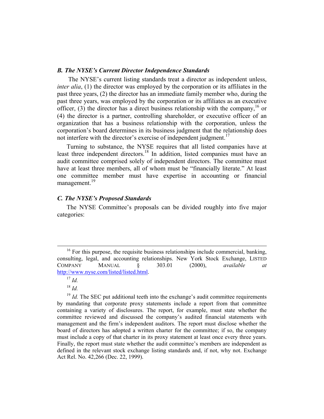# *B. The NYSE's Current Director Independence Standards*

 The NYSE's current listing standards treat a director as independent unless, *inter alia*, (1) the director was employed by the corporation or its affiliates in the past three years, (2) the director has an immediate family member who, during the past three years, was employed by the corporation or its affiliates as an executive officer,  $(3)$  the director has a direct business relationship with the company,<sup>16</sup> or (4) the director is a partner, controlling shareholder, or executive officer of an organization that has a business relationship with the corporation, unless the corporation's board determines in its business judgment that the relationship does not interfere with the director's exercise of independent judgment.<sup>17</sup>

Turning to substance, the NYSE requires that all listed companies have at least three independent directors.<sup>18</sup> In addition, listed companies must have an audit committee comprised solely of independent directors. The committee must have at least three members, all of whom must be "financially literate." At least one committee member must have expertise in accounting or financial management.<sup>19</sup>

# *C. The NYSE's Proposed Standards*

The NYSE Committee's proposals can be divided roughly into five major categories:

 $16$  For this purpose, the requisite business relationships include commercial, banking, consulting, legal, and accounting relationships. New York Stock Exchange, LISTED COMPANY MANUAL § 303.01 (2000), *available at* http://www.nyse.com/listed/listed.html. 17 *Id.* 

<sup>18</sup> *Id.*

 $19$  *Id.* The SEC put additional teeth into the exchange's audit committee requirements by mandating that corporate proxy statements include a report from that committee containing a variety of disclosures. The report, for example, must state whether the committee reviewed and discussed the company's audited financial statements with management and the firm's independent auditors. The report must disclose whether the board of directors has adopted a written charter for the committee; if so, the company must include a copy of that charter in its proxy statement at least once every three years. Finally, the report must state whether the audit committee's members are independent as defined in the relevant stock exchange listing standards and, if not, why not. Exchange Act Rel. No. 42,266 (Dec. 22, 1999).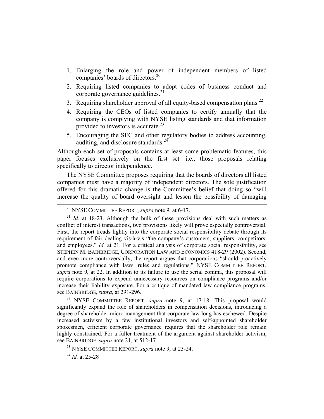- 1. Enlarging the role and power of independent members of listed companies' boards of directors.<sup>20</sup>
- 2. Requiring listed companies to adopt codes of business conduct and corporate governance guidelines.21
- 3. Requiring shareholder approval of all equity-based compensation plans.<sup>22</sup>
- 4. Requiring the CEOs of listed companies to certify annually that the company is complying with NYSE listing standards and that information provided to investors is accurate. $2^3$
- 5. Encouraging the SEC and other regulatory bodies to address accounting, auditing, and disclosure standards. $^{24}$

Although each set of proposals contains at least some problematic features, this paper focuses exclusively on the first set—i.e., those proposals relating specifically to director independence.

The NYSE Committee proposes requiring that the boards of directors all listed companies must have a majority of independent directors. The sole justification offered for this dramatic change is the Committee's belief that doing so "will increase the quality of board oversight and lessen the possibility of damaging

 $^{21}$  *Id.* at 18-23. Although the bulk of these provisions deal with such matters as conflict of interest transactions, two provisions likely will prove especially controversial. First, the report treads lightly into the corporate social responsibility debate through its requirement of fair dealing vis-à-vis "the company's customers, suppliers, competitors, and employees." *Id.* at 21. For a critical analysis of corporate social responsibility, see STEPHEN M. BAINBRIDGE, CORPORATION LAW AND ECONOMICS 418-29 (2002). Second, and even more controversially, the report argues that corporations "should proactively promote compliance with laws, rules and regulations." NYSE COMMITTEE REPORT, *supra* note 9, at 22. In addition to its failure to use the serial comma, this proposal will require corporations to expend unnecessary resources on compliance programs and/or increase their liability exposure. For a critique of mandated law compliance programs, see BAINBRIDGE, *supra*, at 291-296.

22 NYSE COMMITTEE REPORT, *supra* note 9, at 17-18. This proposal would significantly expand the role of shareholders in compensation decisions, introducing a degree of shareholder micro-management that corporate law long has eschewed. Despite increased activism by a few institutional investors and self-appointed shareholder spokesmen, efficient corporate governance requires that the shareholder role remain highly constrained. For a fuller treatment of the argument against shareholder activism, see BAINBRIDGE, *supra* note 21, at 512-17.

23 NYSE COMMITTEE REPORT, *supra* note 9, at 23-24.

<sup>24</sup> *Id.* at 25-28

 <sup>20</sup> NYSE COMMITTEE REPORT, *supra* note 9, at 6-17.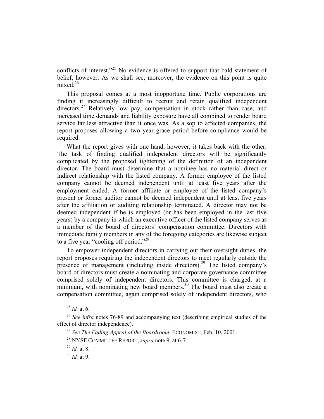conflicts of interest."<sup>25</sup> No evidence is offered to support that bald statement of belief, however. As we shall see, moreover, the evidence on this point is quite mixed. $26$ 

This proposal comes at a most inopportune time. Public corporations are finding it increasingly difficult to recruit and retain qualified independent directors.<sup>27</sup> Relatively low pay, compensation in stock rather than case, and increased time demands and liability exposure have all combined to render board service far less attractive than it once was. As a sop to affected companies, the report proposes allowing a two year grace period before compliance would be required.

What the report gives with one hand, however, it takes back with the other. The task of finding qualified independent directors will be significantly complicated by the proposed tightening of the definition of an independent director. The board must determine that a nominee has no material direct or indirect relationship with the listed company. A former employee of the listed company cannot be deemed independent until at least five years after the employment ended. A former affiliate or employee of the listed company's present or former auditor cannot be deemed independent until at least five years after the affiliation or auditing relationship terminated. A director may not be deemed independent if he is employed (or has been employed in the last five years) by a company in which an executive officer of the listed company serves as a member of the board of directors' compensation committee. Directors with immediate family members in any of the foregoing categories are likewise subject to a five year "cooling off period."<sup>28</sup>

To empower independent directors in carrying out their oversight duties, the report proposes requiring the independent directors to meet regularly outside the presence of management (including inside directors).29 The listed company's board of directors must create a nominating and corporate governance committee comprised solely of independent directors. This committee is charged, at a minimum, with nominating new board members.<sup>30</sup> The board must also create a compensation committee, again comprised solely of independent directors, who

 $^{25}$  *Id.* at 6.

<sup>&</sup>lt;sup>26</sup> *See infra* notes 76-89 and accompanying text (describing empirical studies of the effect of director independence).

<sup>27</sup> *See The Fading Appeal of the Boardroom*, ECONOMIST, Feb. 10, 2001.

<sup>28</sup> NYSE COMMITTEE REPORT, *supra* note 9, at 6-7.

<sup>29</sup> *Id.* at 8.

<sup>30</sup> *Id.* at 9.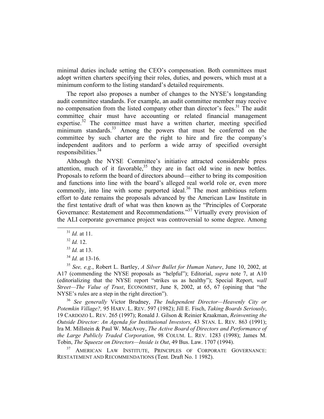minimal duties include setting the CEO's compensation. Both committees must adopt written charters specifying their roles, duties, and powers, which must at a minimum conform to the listing standard's detailed requirements.

The report also proposes a number of changes to the NYSE's longstanding audit committee standards. For example, an audit committee member may receive no compensation from the listed company other than director's fees.<sup>31</sup> The audit committee chair must have accounting or related financial management expertise.<sup>32</sup> The committee must have a written charter, meeting specified minimum standards.<sup>33</sup> Among the powers that must be conferred on the committee by such charter are the right to hire and fire the company's independent auditors and to perform a wide array of specified oversight responsibilities.<sup>34</sup>

Although the NYSE Committee's initiative attracted considerable press attention, much of it favorable, $35$  they are in fact old wine in new bottles. Proposals to reform the board of directors abound—either to bring its composition and functions into line with the board's alleged real world role or, even more commonly, into line with some purported ideal.<sup>36</sup> The most ambitious reform effort to date remains the proposals advanced by the American Law Institute in the first tentative draft of what was then known as the "Principles of Corporate Governance: Restatement and Recommendations."37 Virtually every provision of the ALI corporate governance project was controversial to some degree. Among

<sup>35</sup> *See, e.g.*, Robert L. Bartley, *A Silver Bullet for Human Nature*, June 10, 2002, at A17 (commending the NYSE proposals as "helpful"); Editorial, *supra* note 7, at A10 (editorializing that the NYSE report "strikes us as healthy"); Special Report, *wall Street—The Value of Trust*, ECONOMIST, June 8, 2002, at 65, 67 (opining that "the NYSE's rules are a step in the right direction").

<sup>36</sup> *See generally* Victor Brudney, *The Independent Director—Heavenly City or Potemkin Village?,* 95 HARV. L. REV. 597 (1982); Jill E. Fisch, *Taking Boards Seriously*, 19 CARDOZO L. REV. 265 (1997); Ronald J. Gilson & Reinier Kraakman, *Reinventing the Outside Director: An Agenda for Institutional Investors,* 43 STAN. L. REV. 863 (1991); Ira M. Millstein & Paul W. MacAvoy, *The Active Board of Directors and Performance of the Large Publicly Traded Corporation*, 98 COLUM. L. REV. 1283 (1998); James M. Tobin, *The Squeeze on Directors—Inside is Out*, 49 Bus. Law. 1707 (1994).

<sup>37</sup> AMERICAN LAW INSTITUTE, PRINCIPLES OF CORPORATE GOVERNANCE: RESTATEMENT AND RECOMMENDATIONS (Tent. Draft No. 1 1982).

 <sup>31</sup> *Id.* at 11.

 $32$  *Id.* 12.

<sup>33</sup> *Id.* at 13.

<sup>34</sup> *Id.* at 13-16.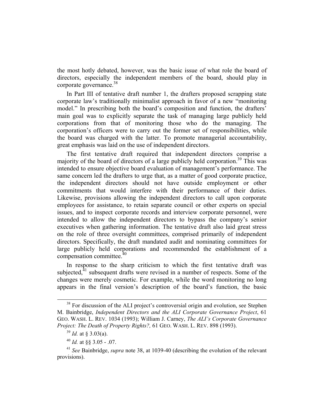the most hotly debated, however, was the basic issue of what role the board of directors, especially the independent members of the board, should play in corporate governance. $38$ 

In Part III of tentative draft number 1, the drafters proposed scrapping state corporate law's traditionally minimalist approach in favor of a new "monitoring model." In prescribing both the board's composition and function, the drafters' main goal was to explicitly separate the task of managing large publicly held corporations from that of monitoring those who do the managing. The corporation's officers were to carry out the former set of responsibilities, while the board was charged with the latter. To promote managerial accountability, great emphasis was laid on the use of independent directors.

The first tentative draft required that independent directors comprise a majority of the board of directors of a large publicly held corporation.39 This was intended to ensure objective board evaluation of management's performance. The same concern led the drafters to urge that, as a matter of good corporate practice, the independent directors should not have outside employment or other commitments that would interfere with their performance of their duties. Likewise, provisions allowing the independent directors to call upon corporate employees for assistance, to retain separate council or other experts on special issues, and to inspect corporate records and interview corporate personnel, were intended to allow the independent directors to bypass the company's senior executives when gathering information. The tentative draft also laid great stress on the role of three oversight committees, comprised primarily of independent directors. Specifically, the draft mandated audit and nominating committees for large publicly held corporations and recommended the establishment of a compensation committee.<sup>40</sup>

In response to the sharp criticism to which the first tentative draft was subjected, $41$  subsequent drafts were revised in a number of respects. Some of the changes were merely cosmetic. For example, while the word monitoring no long appears in the final version's description of the board's function, the basic

<sup>&</sup>lt;sup>38</sup> For discussion of the ALI project's controversial origin and evolution, see Stephen M. Bainbridge, *Independent Directors and the ALI Corporate Governance Project*, 61 GEO. WASH. L. REV. 1034 (1993); William J. Carney, *The ALI's Corporate Governance Project: The Death of Property Rights?,* 61 GEO. WASH. L. REV. 898 (1993).

<sup>39</sup> *Id.* at § 3.03(a).

<sup>40</sup> *Id.* at §§ 3.05 - .07.

<sup>41</sup> *See* Bainbridge, *supra* note 38, at 1039-40 (describing the evolution of the relevant provisions).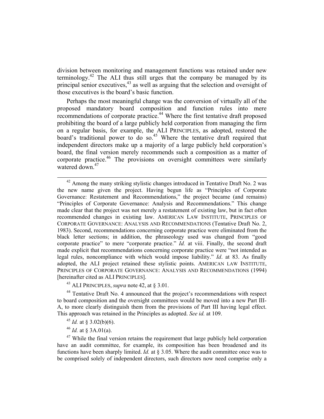division between monitoring and management functions was retained under new terminology.42 The ALI thus still urges that the company be managed by its principal senior executives,  $43$  as well as arguing that the selection and oversight of those executives is the board's basic function.

Perhaps the most meaningful change was the conversion of virtually all of the proposed mandatory board composition and function rules into mere recommendations of corporate practice.44 Where the first tentative draft proposed prohibiting the board of a large publicly held corporation from managing the firm on a regular basis, for example, the ALI PRINCIPLES, as adopted, restored the board's traditional power to do so.<sup>45</sup> Where the tentative draft required that independent directors make up a majority of a large publicly held corporation's board, the final version merely recommends such a composition as a matter of corporate practice.<sup>46</sup> The provisions on oversight committees were similarly watered down.<sup>47</sup>

43 ALI PRINCIPLES, *supra* note 42, at § 3.01.

44 Tentative Draft No. 4 announced that the project's recommendations with respect to board composition and the oversight committees would be moved into a new Part III-A, to more clearly distinguish them from the provisions of Part III having legal effect. This approach was retained in the Principles as adopted. *See id.* at 109.

 $45$  *Id.* at § 3.02(b)(6).

 $46$  *Id.* at § 3A.01(a).

 $47$  While the final version retains the requirement that large publicly held corporation have an audit committee, for example, its composition has been broadened and its functions have been sharply limited. *Id.* at § 3.05. Where the audit committee once was to be comprised solely of independent directors, such directors now need comprise only a

<sup>&</sup>lt;sup>42</sup> Among the many striking stylistic changes introduced in Tentative Draft No. 2 was the new name given the project. Having begun life as "Principles of Corporate Governance: Restatement and Recommendations," the project became (and remains) "Principles of Corporate Governance: Analysis and Recommendations." This change made clear that the project was not merely a restatement of existing law, but in fact often recommended changes in existing law. AMERICAN LAW INSTITUTE, PRINCIPLES OF CORPORATE GOVERNANCE: ANALYSIS AND RECOMMENDATIONS (Tentative Draft No. 2, 1983). Second, recommendations concerning corporate practice were eliminated from the black letter sections; in addition, the phraseology used was changed from "good corporate practice" to mere "corporate practice." *Id.* at viii. Finally, the second draft made explicit that recommendations concerning corporate practice were "not intended as legal rules, noncompliance with which would impose liability." *Id*. at 83. As finally adopted, the ALI project retained these stylistic points. AMERICAN LAW INSTITUTE, PRINCIPLES OF CORPORATE GOVERNANCE: ANALYSIS AND RECOMMENDATIONS (1994) [hereinafter cited as ALI PRINCIPLES].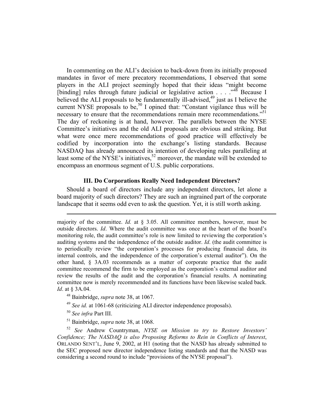In commenting on the ALI's decision to back-down from its initially proposed mandates in favor of mere precatory recommendations, I observed that some players in the ALI project seemingly hoped that their ideas "might become [binding] rules through future judicial or legislative action  $\ldots$  ... <sup>48</sup> Because I believed the ALI proposals to be fundamentally ill-advised, $49$  just as I believe the current NYSE proposals to be,<sup>50</sup> I opined that: "Constant vigilance thus will be necessary to ensure that the recommendations remain mere recommendations."<sup>51</sup> The day of reckoning is at hand, however. The parallels between the NYSE Committee's initiatives and the old ALI proposals are obvious and striking. But what were once mere recommendations of good practice will effectively be codified by incorporation into the exchange's listing standards. Because NASDAQ has already announced its intention of developing rules paralleling at least some of the NYSE's initiatives,<sup>52</sup> moreover, the mandate will be extended to encompass an enormous segment of U.S. public corporations.

#### **III. Do Corporations Really Need Independent Directors?**

Should a board of directors include any independent directors, let alone a board majority of such directors? They are such an ingrained part of the corporate landscape that it seems odd even to ask the question. Yet, it is still worth asking.

- 48 Bainbridge, *supra* note 38, at 1067.
- <sup>49</sup> *See id.* at 1061-68 (criticizing ALI director independence proposals).
- <sup>50</sup> *See infra* Part III.

 $\overline{a}$ 

51 Bainbridge, *supra* note 38, at 1068.

<sup>52</sup> *See* Andrew Countryman, *NYSE on Mission to try to Restore Investors' Confidence; The NASDAQ is also Proposing Reforms to Rein in Conflicts of Interest*, ORLANDO SENT'L, June 9, 2002, at H1 (noting that the NASD has already submitted to the SEC proposed new director independence listing standards and that the NASD was considering a second round to include "provisions of the NYSE proposal").

majority of the committee. *Id.* at § 3.05. All committee members, however, must be outside directors. *Id*. Where the audit committee was once at the heart of the board's monitoring role, the audit committee's role is now limited to reviewing the corporation's auditing systems and the independence of the outside auditor. *Id*. (the audit committee is to periodically review "the corporation's processes for producing financial data, its internal controls, and the independence of the corporation's external auditor"). On the other hand, § 3A.03 recommends as a matter of corporate practice that the audit committee recommend the firm to be employed as the corporation's external auditor and review the results of the audit and the corporation's financial results. A nominating committee now is merely recommended and its functions have been likewise scaled back. *Id*. at § 3A.04.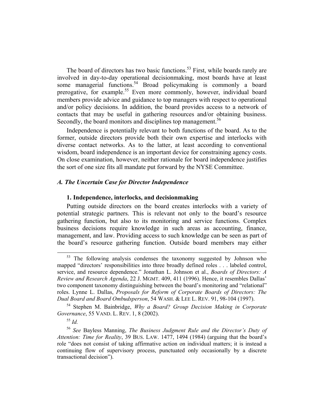The board of directors has two basic functions.<sup>53</sup> First, while boards rarely are involved in day-to-day operational decisionmaking, most boards have at least some managerial functions.<sup>54</sup> Broad policymaking is commonly a board prerogative, for example.<sup>55</sup> Even more commonly, however, individual board members provide advice and guidance to top managers with respect to operational and/or policy decisions. In addition, the board provides access to a network of contacts that may be useful in gathering resources and/or obtaining business. Secondly, the board monitors and disciplines top management.<sup>56</sup>

Independence is potentially relevant to both functions of the board. As to the former, outside directors provide both their own expertise and interlocks with diverse contact networks. As to the latter, at least according to conventional wisdom, board independence is an important device for constraining agency costs. On close examination, however, neither rationale for board independence justifies the sort of one size fits all mandate put forward by the NYSE Committee.

# *A. The Uncertain Case for Director Independence*

# **1. Independence, interlocks, and decisionmaking**

Putting outside directors on the board creates interlocks with a variety of potential strategic partners. This is relevant not only to the board's resource gathering function, but also to its monitoring and service functions. Complex business decisions require knowledge in such areas as accounting, finance, management, and law. Providing access to such knowledge can be seen as part of the board's resource gathering function. Outside board members may either

54 Stephen M. Bainbridge, *Why a Board? Group Decision Making in Corporate Governance*, 55 VAND. L. REV. 1, 8 (2002).

<sup>&</sup>lt;sup>53</sup> The following analysis condenses the taxonomy suggested by Johnson who mapped "directors' responsibilities into three broadly defined roles . . . labeled control, service, and resource dependence." Jonathan L. Johnson et al., *Boards of Directors: A Review and Research Agenda*, 22 J. MGMT. 409, 411 (1996). Hence, it resembles Dallas' two component taxonomy distinguishing between the board's monitoring and "relational" roles. Lynne L. Dallas, *Proposals for Reform of Corporate Boards of Directors: The Dual Board and Board Ombudsperson*, 54 WASH. & LEE L. REV. 91, 98-104 (1997).

<sup>55</sup> *Id.* 

<sup>56</sup> *See* Bayless Manning, *The Business Judgment Rule and the Director's Duty of Attention: Time for Reality*, 39 BUS. LAW. 1477, 1494 (1984) (arguing that the board's role "does not consist of taking affirmative action on individual matters; it is instead a continuing flow of supervisory process, punctuated only occasionally by a discrete transactional decision").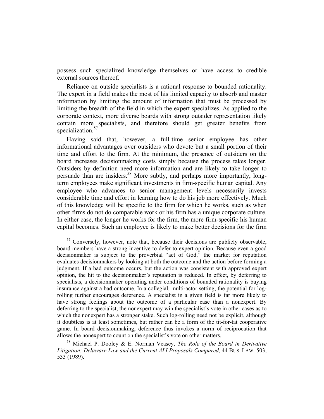possess such specialized knowledge themselves or have access to credible external sources thereof.

Reliance on outside specialists is a rational response to bounded rationality. The expert in a field makes the most of his limited capacity to absorb and master information by limiting the amount of information that must be processed by limiting the breadth of the field in which the expert specializes. As applied to the corporate context, more diverse boards with strong outsider representation likely contain more specialists, and therefore should get greater benefits from specialization.<sup>57</sup>

Having said that, however, a full-time senior employee has other informational advantages over outsiders who devote but a small portion of their time and effort to the firm. At the minimum, the presence of outsiders on the board increases decisionmaking costs simply because the process takes longer. Outsiders by definition need more information and are likely to take longer to persuade than are insiders.<sup>58</sup> More subtly, and perhaps more importantly, longterm employees make significant investments in firm-specific human capital. Any employee who advances to senior management levels necessarily invests considerable time and effort in learning how to do his job more effectively. Much of this knowledge will be specific to the firm for which he works, such as when other firms do not do comparable work or his firm has a unique corporate culture. In either case, the longer he works for the firm, the more firm-specific his human capital becomes. Such an employee is likely to make better decisions for the firm

58 Michael P. Dooley & E. Norman Veasey, *The Role of the Board in Derivative Litigation: Delaware Law and the Current ALI Proposals Compared*, 44 BUS. LAW. 503, 533 (1989).

 $57$  Conversely, however, note that, because their decisions are publicly observable, board members have a strong incentive to defer to expert opinion. Because even a good decisionmaker is subject to the proverbial "act of God," the market for reputation evaluates decisionmakers by looking at both the outcome and the action before forming a judgment. If a bad outcome occurs, but the action was consistent with approved expert opinion, the hit to the decisionmaker's reputation is reduced. In effect, by deferring to specialists, a decisionmaker operating under conditions of bounded rationality is buying insurance against a bad outcome. In a collegial, multi-actor setting, the potential for logrolling further encourages deference. A specialist in a given field is far more likely to have strong feelings about the outcome of a particular case than a nonexpert. By deferring to the specialist, the nonexpert may win the specialist's vote in other cases as to which the nonexpert has a stronger stake. Such log-rolling need not be explicit, although it doubtless is at least sometimes, but rather can be a form of the tit-for-tat cooperative game. In board decisionmaking, deference thus invokes a norm of reciprocation that allows the nonexpert to count on the specialist's vote on other matters.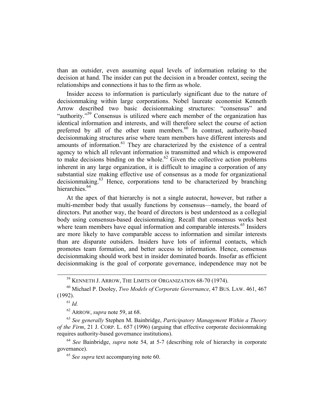than an outsider, even assuming equal levels of information relating to the decision at hand. The insider can put the decision in a broader context, seeing the relationships and connections it has to the firm as whole.

Insider access to information is particularly significant due to the nature of decisionmaking within large corporations. Nobel laureate economist Kenneth Arrow described two basic decisionmaking structures: "consensus" and "authority."<sup>59</sup> Consensus is utilized where each member of the organization has identical information and interests, and will therefore select the course of action preferred by all of the other team members.<sup>60</sup> In contrast, authority-based decisionmaking structures arise where team members have different interests and amounts of information.<sup>61</sup> They are characterized by the existence of a central agency to which all relevant information is transmitted and which is empowered to make decisions binding on the whole.<sup>62</sup> Given the collective action problems inherent in any large organization, it is difficult to imagine a corporation of any substantial size making effective use of consensus as a mode for organizational decisionmaking. $^{63}$  Hence, corporations tend to be characterized by branching hierarchies<sup>64</sup>

At the apex of that hierarchy is not a single autocrat, however, but rather a multi-member body that usually functions by consensus—namely, the board of directors. Put another way, the board of directors is best understood as a collegial body using consensus-based decisionmaking. Recall that consensus works best where team members have equal information and comparable interests.<sup>65</sup> Insiders are more likely to have comparable access to information and similar interests than are disparate outsiders. Insiders have lots of informal contacts, which promotes team formation, and better access to information. Hence, consensus decisionmaking should work best in insider dominated boards. Insofar as efficient decisionmaking is the goal of corporate governance, independence may not be

62 ARROW, *supra* note 59, at 68.

<sup>63</sup> *See generally* Stephen M. Bainbridge, *Participatory Management Within a Theory of the Firm*, 21 J. CORP. L. 657 (1996) (arguing that effective corporate decisionmaking requires authority-based governance institutions).

<sup>64</sup> *See* Bainbridge, *supra* note 54, at 5-7 (describing role of hierarchy in corporate governance).

<sup>65</sup> *See supra* text accompanying note 60.

 <sup>59</sup> KENNETH J. ARROW, THE LIMITS OF ORGANIZATION 68-70 (1974).

<sup>60</sup> Michael P. Dooley, *Two Models of Corporate Governance*, 47 BUS. LAW. 461, 467 (1992).

<sup>61</sup> *Id.*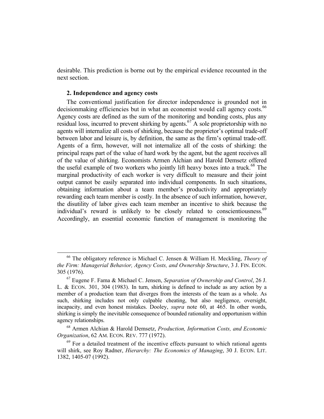desirable. This prediction is borne out by the empirical evidence recounted in the next section.

# **2. Independence and agency costs**

The conventional justification for director independence is grounded not in decisionmaking efficiencies but in what an economist would call agency costs.<sup>66</sup> Agency costs are defined as the sum of the monitoring and bonding costs, plus any residual loss, incurred to prevent shirking by agents.<sup>67</sup> A sole proprietorship with no agents will internalize all costs of shirking, because the proprietor's optimal trade-off between labor and leisure is, by definition, the same as the firm's optimal trade-off. Agents of a firm, however, will not internalize all of the costs of shirking: the principal reaps part of the value of hard work by the agent, but the agent receives all of the value of shirking. Economists Armen Alchian and Harold Demsetz offered the useful example of two workers who jointly lift heavy boxes into a truck.<sup>68</sup> The marginal productivity of each worker is very difficult to measure and their joint output cannot be easily separated into individual components. In such situations, obtaining information about a team member's productivity and appropriately rewarding each team member is costly. In the absence of such information, however, the disutility of labor gives each team member an incentive to shirk because the individual's reward is unlikely to be closely related to conscientiousness.<sup>69</sup> Accordingly, an essential economic function of management is monitoring the

 <sup>66</sup> The obligatory reference is Michael C. Jensen & William H. Meckling, *Theory of the Firm: Managerial Behavior, Agency Costs, and Ownership Structure*, 3 J. FIN. ECON. 305 (1976).

<sup>67</sup> Eugene F. Fama & Michael C. Jensen, *Separation of Ownership and Control*, 26 J. L. & ECON. 301, 304 (1983). In turn, shirking is defined to include as any action by a member of a production team that diverges from the interests of the team as a whole. As such, shirking includes not only culpable cheating, but also negligence, oversight, incapacity, and even honest mistakes. Dooley, *supra* note 60, at 465. In other words, shirking is simply the inevitable consequence of bounded rationality and opportunism within agency relationships.

<sup>68</sup> Armen Alchian & Harold Demsetz, *Production, Information Costs, and Economic Organization*, 62 AM. ECON. REV. 777 (1972).

 $69$  For a detailed treatment of the incentive effects pursuant to which rational agents will shirk, see Roy Radner, *Hierarchy: The Economics of Managing*, 30 J. ECON. LIT. 1382, 1405-07 (1992).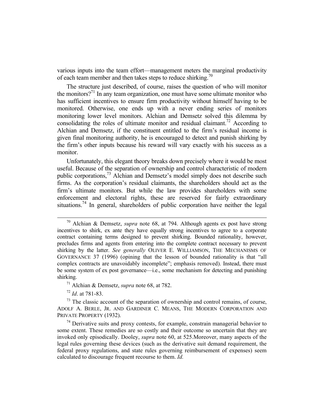various inputs into the team effort—management meters the marginal productivity of each team member and then takes steps to reduce shirking.<sup>70</sup>

The structure just described, of course, raises the question of who will monitor the monitors?<sup>71</sup> In any team organization, one must have some ultimate monitor who has sufficient incentives to ensure firm productivity without himself having to be monitored. Otherwise, one ends up with a never ending series of monitors monitoring lower level monitors. Alchian and Demsetz solved this dilemma by consolidating the roles of ultimate monitor and residual claimant.<sup>72</sup> According to Alchian and Demsetz, if the constituent entitled to the firm's residual income is given final monitoring authority, he is encouraged to detect and punish shirking by the firm's other inputs because his reward will vary exactly with his success as a monitor.

Unfortunately, this elegant theory breaks down precisely where it would be most useful. Because of the separation of ownership and control characteristic of modern public corporations,  $^{73}$  Alchian and Demsetz's model simply does not describe such firms. As the corporation's residual claimants, the shareholders should act as the firm's ultimate monitors. But while the law provides shareholders with some enforcement and electoral rights, these are reserved for fairly extraordinary situations.<sup>74</sup> In general, shareholders of public corporation have neither the legal

<sup>72</sup> *Id*. at 781-83.

 $73$  The classic account of the separation of ownership and control remains, of course, ADOLF A. BERLE, JR. AND GARDINER C. MEANS, THE MODERN CORPORATION AND PRIVATE PROPERTY (1932).

 $74$  Derivative suits and proxy contests, for example, constrain managerial behavior to some extent. These remedies are so costly and their outcome so uncertain that they are invoked only episodically. Dooley, *supra* note 60, at 525.Moreover, many aspects of the legal rules governing these devices (such as the derivative suit demand requirement, the federal proxy regulations, and state rules governing reimbursement of expenses) seem calculated to discourage frequent recourse to them. *Id.*

 <sup>70</sup> Alchian & Demsetz, *supra* note 68, at 794. Although agents ex post have strong incentives to shirk, ex ante they have equally strong incentives to agree to a corporate contract containing terms designed to prevent shirking. Bounded rationality, however, precludes firms and agents from entering into the complete contract necessary to prevent shirking by the latter. *See generally* OLIVER E. WILLIAMSON, THE MECHANISMS OF GOVERNANCE 37 (1996) (opining that the lesson of bounded rationality is that "all complex contracts are unavoidably incomplete"; emphasis removed). Instead, there must be some system of ex post governance—i.e., some mechanism for detecting and punishing shirking.

<sup>71</sup> Alchian & Demsetz, *supra* note 68, at 782.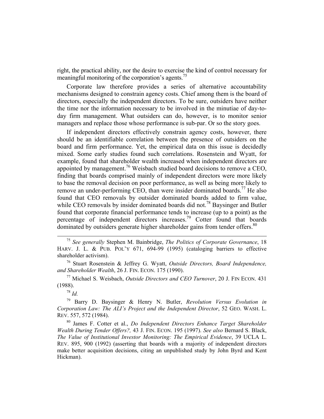right, the practical ability, nor the desire to exercise the kind of control necessary for meaningful monitoring of the corporation's agents.<sup>75</sup>

Corporate law therefore provides a series of alternative accountability mechanisms designed to constrain agency costs. Chief among them is the board of directors, especially the independent directors. To be sure, outsiders have neither the time nor the information necessary to be involved in the minutiae of day-today firm management. What outsiders can do, however, is to monitor senior managers and replace those whose performance is sub-par. Or so the story goes.

If independent directors effectively constrain agency costs, however, there should be an identifiable correlation between the presence of outsiders on the board and firm performance. Yet, the empirical data on this issue is decidedly mixed. Some early studies found such correlations. Rosenstein and Wyatt, for example, found that shareholder wealth increased when independent directors are appointed by management.<sup>76</sup> Weisbach studied board decisions to remove a CEO, finding that boards comprised mainly of independent directors were more likely to base the removal decision on poor performance, as well as being more likely to remove an under-performing CEO, than were insider dominated boards.<sup>77</sup> He also found that CEO removals by outsider dominated boards added to firm value, while CEO removals by insider dominated boards did not.<sup>78</sup> Baysinger and Butler found that corporate financial performance tends to increase (up to a point) as the percentage of independent directors increases.<sup>79</sup> Cotter found that boards dominated by outsiders generate higher shareholder gains from tender offers.<sup>80</sup>

76 Stuart Rosenstein & Jeffrey G. Wyatt, *Outside Directors, Board Independence, and Shareholder Wealth*, 26 J. FIN. ECON. 175 (1990).

77 Michael S. Weisbach, *Outside Directors and CEO Turnover*, 20 J. FIN ECON. 431 (1988).

 $^{78}$  *Id.* 

79 Barry D. Baysinger & Henry N. Butler, *Revolution Versus Evolution in Corporation Law: The ALI's Project and the Independent Director*, 52 GEO. WASH. L. REV. 557, 572 (1984).

80 James F. Cotter et al., *Do Independent Directors Enhance Target Shareholder Wealth During Tender Offers?,* 43 J. FIN. ECON. 195 (1997). *See also* Bernard S. Black, *The Value of Institutional Investor Monitoring: The Empirical Evidence*, 39 UCLA L. REV. 895, 900 (1992) (asserting that boards with a majority of independent directors make better acquisition decisions, citing an unpublished study by John Byrd and Kent Hickman).

 <sup>75</sup> *See generally* Stephen M. Bainbridge, *The Politics of Corporate Governance*, 18 HARV. J. L. & PUB. POL'Y 671, 694-99 (1995) (cataloging barriers to effective shareholder activism).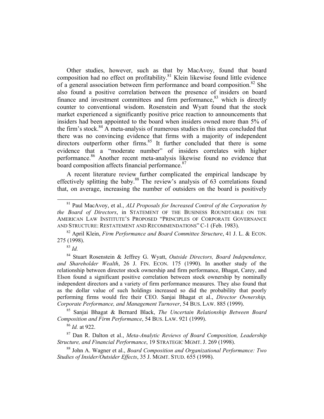Other studies, however, such as that by MacAvoy, found that board composition had no effect on profitability.81 Klein likewise found little evidence of a general association between firm performance and board composition.<sup>82</sup> She also found a positive correlation between the presence of insiders on board finance and investment committees and firm performance,  $83$  which is directly counter to conventional wisdom. Rosenstein and Wyatt found that the stock market experienced a significantly positive price reaction to announcements that insiders had been appointed to the board when insiders owned more than 5% of the firm's stock. $84$  A meta-analysis of numerous studies in this area concluded that there was no convincing evidence that firms with a majority of independent directors outperform other firms.<sup>85</sup> It further concluded that there is some evidence that a "moderate number" of insiders correlates with higher performance.<sup>86</sup> Another recent meta-analysis likewise found no evidence that board composition affects financial performance.<sup>87</sup>

A recent literature review further complicated the empirical landscape by effectively splitting the baby.<sup>88</sup> The review's analysis of  $\overrightarrow{63}$  correlations found that, on average, increasing the number of outsiders on the board is positively

82 April Klein, *Firm Performance and Board Committee Structure*, 41 J. L. & ECON. 275 (1998).

<sup>83</sup> *Id.* 

84 Stuart Rosenstein & Jeffrey G. Wyatt, *Outside Directors, Board Independence, and Shareholder Wealth*, 26 J. FIN. ECON. 175 (1990). In another study of the relationship between director stock ownership and firm performance, Bhagat, Carey, and Elson found a significant positive correlation between stock ownership by nominally independent directors and a variety of firm performance measures. They also found that as the dollar value of such holdings increased so did the probability that poorly performing firms would fire their CEO. Sanjai Bhagat et al., *Director Ownership, Corporate Performance, and Management Turnover*, 54 BUS. LAW. 885 (1999).

85 Sanjai Bhagat & Bernard Black, *The Uncertain Relationship Between Board Composition and Firm Performance*, 54 BUS. LAW. 921 (1999).

<sup>86</sup> *Id.* at 922.

87 Dan R. Dalton et al., *Meta-Analytic Reviews of Board Composition, Leadership Structure, and Financial Performance*, 19 STRATEGIC MGMT. J. 269 (1998).

88 John A. Wagner et al., *Board Composition and Organizational Performance: Two Studies of Insider/Outsider Effects*, 35 J. MGMT. STUD. 655 (1998).

 <sup>81</sup> Paul MacAvoy, et al., *ALI Proposals for Increased Control of the Corporation by the Board of Directors*, in STATEMENT OF THE BUSINESS ROUNDTABLE ON THE AMERICAN LAW INSTITUTE'S PROPOSED "PRINCIPLES OF CORPORATE GOVERNANCE AND STRUCTURE: RESTATEMENT AND RECOMMENDATIONS" C-1 (Feb. 1983).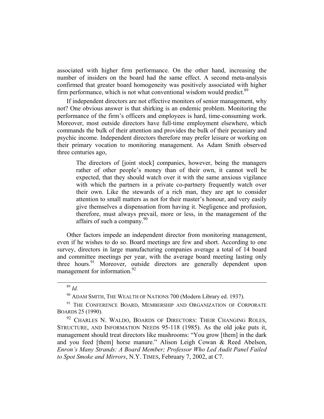associated with higher firm performance. On the other hand, increasing the number of insiders on the board had the same effect. A second meta-analysis confirmed that greater board homogeneity was positively associated with higher firm performance, which is not what conventional wisdom would predict.<sup>89</sup>

If independent directors are not effective monitors of senior management, why not? One obvious answer is that shirking is an endemic problem. Monitoring the performance of the firm's officers and employees is hard, time-consuming work. Moreover, most outside directors have full-time employment elsewhere, which commands the bulk of their attention and provides the bulk of their pecuniary and psychic income. Independent directors therefore may prefer leisure or working on their primary vocation to monitoring management. As Adam Smith observed three centuries ago,

The directors of [joint stock] companies, however, being the managers rather of other people's money than of their own, it cannot well be expected, that they should watch over it with the same anxious vigilance with which the partners in a private co-partnery frequently watch over their own. Like the stewards of a rich man, they are apt to consider attention to small matters as not for their master's honour, and very easily give themselves a dispensation from having it. Negligence and profusion, therefore, must always prevail, more or less, in the management of the affairs of such a company.<sup>90</sup>

Other factors impede an independent director from monitoring management, even if he wishes to do so. Board meetings are few and short. According to one survey, directors in large manufacturing companies average a total of 14 board and committee meetings per year, with the average board meeting lasting only three hours.<sup>91</sup> Moreover, outside directors are generally dependent upon management for information. $^{92}$ 

 <sup>89</sup> *Id.* 

<sup>90</sup> ADAM SMITH, THE WEALTH OF NATIONS 700 (Modern Library ed. 1937).

<sup>&</sup>lt;sup>91</sup> THE CONFERENCE BOARD, MEMBERSHIP AND ORGANIZATION OF CORPORATE BOARDS 25 (1990).

<sup>&</sup>lt;sup>92</sup> CHARLES N. WALDO, BOARDS OF DIRECTORS: THEIR CHANGING ROLES, STRUCTURE, AND INFORMATION NEEDS 95-118 (1985). As the old joke puts it, management should treat directors like mushrooms: "You grow [them] in the dark and you feed [them] horse manure." Alison Leigh Cowan & Reed Abelson, *Enron's Many Strands: A Board Member; Professor Who Led Audit Panel Failed to Spot Smoke and Mirrors*, N.Y. TIMES, February 7, 2002, at C7.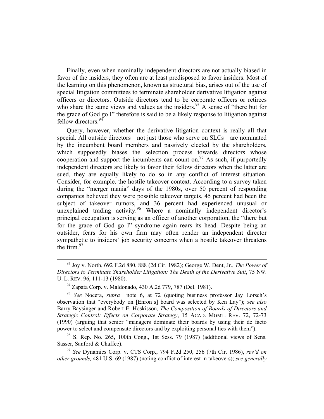Finally, even when nominally independent directors are not actually biased in favor of the insiders, they often are at least predisposed to favor insiders. Most of the learning on this phenomenon, known as structural bias, arises out of the use of special litigation committees to terminate shareholder derivative litigation against officers or directors. Outside directors tend to be corporate officers or retirees who share the same views and values as the insiders.<sup>93</sup> A sense of "there but for the grace of God go I" therefore is said to be a likely response to litigation against fellow directors.94

Query, however, whether the derivative litigation context is really all that special. All outside directors—not just those who serve on SLCs—are nominated by the incumbent board members and passively elected by the shareholders, which supposedly biases the selection process towards directors whose cooperation and support the incumbents can count on.<sup>95</sup> As such, if purportedly independent directors are likely to favor their fellow directors when the latter are sued, they are equally likely to do so in any conflict of interest situation. Consider, for example, the hostile takeover context. According to a survey taken during the "merger mania" days of the 1980s, over 50 percent of responding companies believed they were possible takeover targets, 45 percent had been the subject of takeover rumors, and 36 percent had experienced unusual or unexplained trading activity.<sup>96</sup> Where a nominally independent director's principal occupation is serving as an officer of another corporation, the "there but for the grace of God go I" syndrome again rears its head. Despite being an outsider, fears for his own firm may often render an independent director sympathetic to insiders' job security concerns when a hostile takeover threatens the firm. $97$ 

 <sup>93</sup> Joy v. North, 692 F.2d 880, 888 (2d Cir. 1982); George W. Dent, Jr., *The Power of Directors to Terminate Shareholder Litigation: The Death of the Derivative Suit*, 75 NW. U. L. REV. 96, 111-13 (1980).

<sup>94</sup> Zapata Corp. v. Maldonado, 430 A.2d 779, 787 (Del. 1981).

<sup>95</sup> *See* Nocera, *supra* note 6, at 72 (quoting business professor Jay Lorsch's observation that "everybody on [Enron's] board was selected by Ken Lay"); *see also* Barry Baysinger and Robert E. Hoskisson, *The Composition of Boards of Directors and Strategic Control: Effects on Corporate Strategy*, 15 ACAD. MGMT. REV. 72, 72-73 (1990) (arguing that senior "managers dominate their boards by using their de facto power to select and compensate directors and by exploiting personal ties with them").

 $96$  S. Rep. No. 265, 100th Cong., 1st Sess. 79 (1987) (additional views of Sens. Sasser, Sanford & Chaffee).

<sup>97</sup> *See* Dynamics Corp. v. CTS Corp., 794 F.2d 250, 256 (7th Cir. 1986), *rev'd on other grounds,* 481 U.S. 69 (1987) (noting conflict of interest in takeovers); *see generally*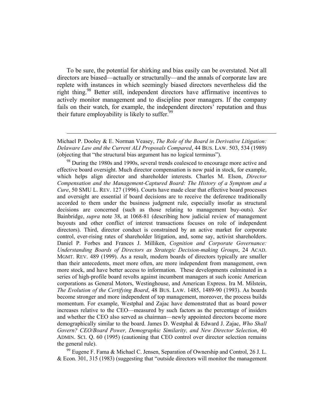To be sure, the potential for shirking and bias easily can be overstated. Not all directors are biased—actually or structurally—and the annals of corporate law are replete with instances in which seemingly biased directors nevertheless did the right thing.98 Better still, independent directors have affirmative incentives to actively monitor management and to discipline poor managers. If the company fails on their watch, for example, the independent directors' reputation and thus their future employability is likely to suffer.<sup>99</sup>

 $\overline{a}$ 

<sup>98</sup> During the 1980s and 1990s, several trends coalesced to encourage more active and effective board oversight. Much director compensation is now paid in stock, for example, which helps align director and shareholder interests. Charles M. Elson, *Director Compensation and the Management-Captured Board: The History of a Symptom and a Cure*, 50 SMU L. REV. 127 (1996). Courts have made clear that effective board processes and oversight are essential if board decisions are to receive the deference traditionally accorded to them under the business judgment rule, especially insofar as structural decisions are concerned (such as those relating to management buy-outs). *See*  Bainbridge, *supra* note 38, at 1068-81 (describing how judicial review of management buyouts and other conflict of interest transactions focuses on role of independent directors). Third, director conduct is constrained by an active market for corporate control, ever-rising rates of shareholder litigation, and, some say, activist shareholders. Daniel P. Forbes and Frances J. Milliken, *Cognition and Corporate Governance: Understanding Boards of Directors as Strategic Decision-making Groups*, 24 ACAD. MGMT. REV. 489 (1999). As a result, modern boards of directors typically are smaller than their antecedents, meet more often, are more independent from management, own more stock, and have better access to information. These developments culminated in a series of high-profile board revolts against incumbent managers at such iconic American corporations as General Motors, Westinghouse, and American Express. Ira M. Milstein, *The Evolution of the Certifying Board*, 48 BUS. LAW. 1485, 1489-90 (1993). As boards become stronger and more independent of top management, moreover, the process builds momentum. For example, Westphal and Zajac have demonstrated that as board power increases relative to the CEO—measured by such factors as the percentage of insiders and whether the CEO also served as chairman—newly appointed directors become more demographically similar to the board. James D. Westphal & Edward J. Zajac, *Who Shall Govern? CEO/Board Power, Demographic Similarity, and New Director Selection*, 40 ADMIN. SCI. Q. 60 (1995) (cautioning that CEO control over director selection remains the general rule).

<sup>99</sup> Eugene F. Fama & Michael C. Jensen, Separation of Ownership and Control, 26 J. L. & Econ. 301, 315 (1983) (suggesting that "outside directors will monitor the management

Michael P. Dooley & E. Norman Veasey, *The Role of the Board in Derivative Litigation: Delaware Law and the Current ALI Proposals Compared*, 44 BUS. LAW. 503, 534 (1989) (objecting that "the structural bias argument has no logical terminus").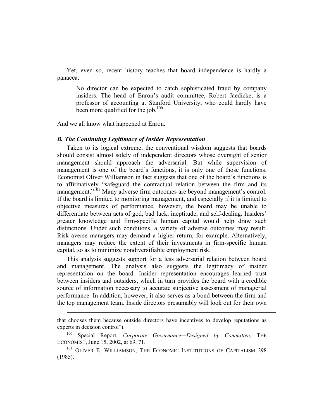Yet, even so, recent history teaches that board independence is hardly a panacea:

No director can be expected to catch sophisticated fraud by company insiders. The head of Enron's audit committee, Robert Jaedicke, is a professor of accounting at Stanford University, who could hardly have been more qualified for the job. $100$ 

And we all know what happened at Enron.

1

#### *B. The Continuing Legitimacy of Insider Representation*

Taken to its logical extreme, the conventional wisdom suggests that boards should consist almost solely of independent directors whose oversight of senior management should approach the adversarial. But while supervision of management is one of the board's functions, it is only one of those functions. Economist Oliver Williamson in fact suggests that one of the board's functions is to affirmatively "safeguard the contractual relation between the firm and its management."<sup>101</sup> Many adverse firm outcomes are beyond management's control. If the board is limited to monitoring management, and especially if it is limited to objective measures of performance, however, the board may be unable to differentiate between acts of god, bad luck, ineptitude, and self-dealing. Insiders' greater knowledge and firm-specific human capital would help draw such distinctions. Under such conditions, a variety of adverse outcomes may result. Risk averse managers may demand a higher return, for example. Alternatively, managers may reduce the extent of their investments in firm-specific human capital, so as to minimize nondiversifiable employment risk.

This analysis suggests support for a less adversarial relation between board and management. The analysis also suggests the legitimacy of insider representation on the board. Insider representation encourages learned trust between insiders and outsiders, which in turn provides the board with a credible source of information necessary to accurate subjective assessment of managerial performance. In addition, however, it also serves as a bond between the firm and the top management team. Inside directors presumably will look out for their own

that chooses them because outside directors have incentives to develop reputations as experts in decision control").

<sup>100</sup> Special Report, *Corporate Governance—Designed by Committee*, THE ECONOMIST, June 15, 2002, at 69, 71.

<sup>&</sup>lt;sup>101</sup> OLIVER E. WILLIAMSON, THE ECONOMIC INSTITUTIONS OF CAPITALISM 298 (1985).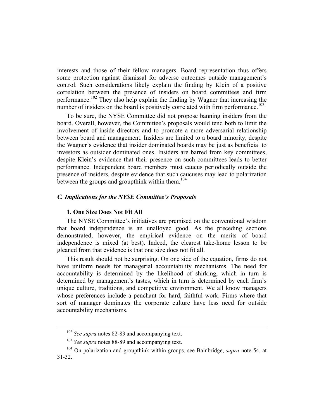interests and those of their fellow managers. Board representation thus offers some protection against dismissal for adverse outcomes outside management's control. Such considerations likely explain the finding by Klein of a positive correlation between the presence of insiders on board committees and firm performance.<sup>102</sup> They also help explain the finding by Wagner that increasing the number of insiders on the board is positively correlated with firm performance.<sup>103</sup>

To be sure, the NYSE Committee did not propose banning insiders from the board. Overall, however, the Committee's proposals would tend both to limit the involvement of inside directors and to promote a more adversarial relationship between board and management. Insiders are limited to a board minority, despite the Wagner's evidence that insider dominated boards may be just as beneficial to investors as outsider dominated ones. Insiders are barred from key committees, despite Klein's evidence that their presence on such committees leads to better performance. Independent board members must caucus periodically outside the presence of insiders, despite evidence that such caucuses may lead to polarization between the groups and groupthink within them.<sup>104</sup>

# *C. Implications for the NYSE Committee's Proposals*

# **1. One Size Does Not Fit All**

The NYSE Committee's initiatives are premised on the conventional wisdom that board independence is an unalloyed good. As the preceding sections demonstrated, however, the empirical evidence on the merits of board independence is mixed (at best). Indeed, the clearest take-home lesson to be gleaned from that evidence is that one size does not fit all.

This result should not be surprising. On one side of the equation, firms do not have uniform needs for managerial accountability mechanisms. The need for accountability is determined by the likelihood of shirking, which in turn is determined by management's tastes, which in turn is determined by each firm's unique culture, traditions, and competitive environment. We all know managers whose preferences include a penchant for hard, faithful work. Firms where that sort of manager dominates the corporate culture have less need for outside accountability mechanisms.

<sup>&</sup>lt;sup>102</sup> *See supra* notes 82-83 and accompanying text.

<sup>&</sup>lt;sup>103</sup> *See supra* notes 88-89 and accompanying text.

<sup>104</sup> On polarization and groupthink within groups, see Bainbridge, *supra* note 54, at 31-32.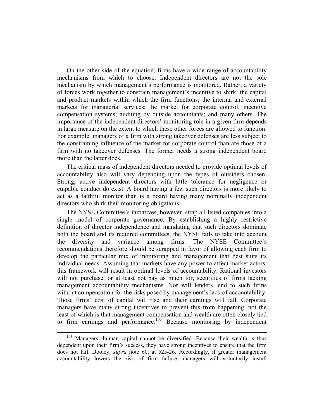On the other side of the equation, firms have a wide range of accountability mechanisms from which to choose. Independent directors are not the sole mechanism by which management's performance is monitored. Rather, a variety of forces work together to constrain management's incentive to shirk: the capital and product markets within which the firm functions; the internal and external markets for managerial services; the market for corporate control; incentive compensation systems; auditing by outside accountants; and many others. The importance of the independent directors' monitoring role in a given firm depends in large measure on the extent to which these other forces are allowed to function. For example, managers of a firm with strong takeover defenses are less subject to the constraining influence of the market for corporate control than are those of a firm with no takeover defenses. The former needs a strong independent board more than the latter does.

The critical mass of independent directors needed to provide optimal levels of accountability also will vary depending upon the types of outsiders chosen. Strong, active independent directors with little tolerance for negligence or culpable conduct do exist. A board having a few such directors is more likely to act as a faithful monitor than is a board having many nominally independent directors who shirk their monitoring obligations.

The NYSE Committee's initiatives, however, strap all listed companies into a single model of corporate governance. By establishing a highly restrictive definition of director independence and mandating that such directors dominate both the board and its required committees, the NYSE fails to take into account the diversity and variance among firms. The NYSE Committee's recommendations therefore should be scrapped in favor of allowing each firm to develop the particular mix of monitoring and management that best suits its individual needs. Assuming that markets have any power to affect market actors, this framework will result in optimal levels of accountability. Rational investors will not purchase, or at least not pay as much for, securities of firms lacking management accountability mechanisms. Nor will lenders lend to such firms without compensation for the risks posed by management's lack of accountability. Those firms' cost of capital will rise and their earnings will fall. Corporate managers have many strong incentives to prevent this from happening, not the least of which is that management compensation and wealth are often closely tied to firm earnings and performance.<sup>105</sup> Because monitoring by independent

<sup>&</sup>lt;sup>105</sup> Managers' human capital cannot be diversified. Because their wealth is thus dependent upon their firm's success, they have strong incentives to ensure that the firm does not fail. Dooley, *supra* note 60, at 525-26. Accordingly, if greater management accountability lowers the risk of firm failure, managers will voluntarily install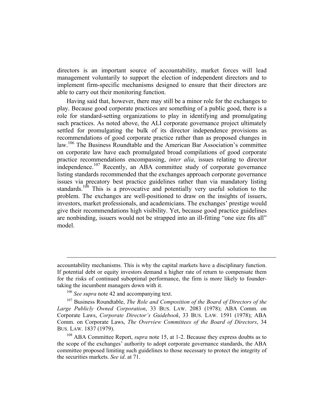directors is an important source of accountability, market forces will lead management voluntarily to support the election of independent directors and to implement firm-specific mechanisms designed to ensure that their directors are able to carry out their monitoring function.

Having said that, however, there may still be a minor role for the exchanges to play. Because good corporate practices are something of a public good, there is a role for standard-setting organizations to play in identifying and promulgating such practices. As noted above, the ALI corporate governance project ultimately settled for promulgating the bulk of its director independence provisions as recommendations of good corporate practice rather than as proposed changes in law.<sup>106</sup> The Business Roundtable and the American Bar Association's committee on corporate law have each promulgated broad compilations of good corporate practice recommendations encompassing, *inter alia*, issues relating to director independence.107 Recently, an ABA committee study of corporate governance listing standards recommended that the exchanges approach corporate governance issues via precatory best practice guidelines rather than via mandatory listing standards.<sup>108</sup> This is a provocative and potentially very useful solution to the problem. The exchanges are well-positioned to draw on the insights of issuers, investors, market professionals, and academicians. The exchanges' prestige would give their recommendations high visibility. Yet, because good practice guidelines are nonbinding, issuers would not be strapped into an ill-fitting "one size fits all" model.

 $\overline{a}$ 

accountability mechanisms. This is why the capital markets have a disciplinary function. If potential debt or equity investors demand a higher rate of return to compensate them for the risks of continued suboptimal performance, the firm is more likely to foundertaking the incumbent managers down with it.

<sup>&</sup>lt;sup>106</sup> See supra note 42 and accompanying text.

<sup>107</sup> Business Roundtable, *The Role and Composition of the Board of Directors of the Large Publicly Owned Corporation*, 33 BUS. LAW. 2083 (1978); ABA Comm. on Corporate Laws, *Corporate Director's Guidebook*, 33 BUS. LAW. 1591 (1978); ABA Comm. on Corporate Laws, *The Overview Committees of the Board of Directors*, 34 BUS. LAW. 1837 (1979).

<sup>108</sup> ABA Committee Report, *supra* note 15, at 1-2. Because they express doubts as to the scope of the exchanges' authority to adopt corporate governance standards, the ABA committee proposed limiting such guidelines to those necessary to protect the integrity of the securities markets. *See id*. at 71.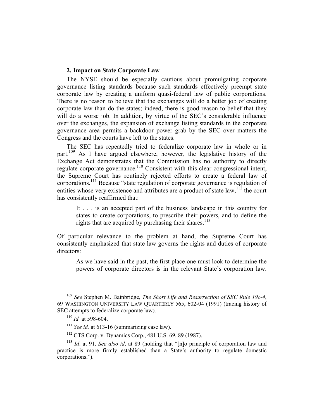#### **2. Impact on State Corporate Law**

The NYSE should be especially cautious about promulgating corporate governance listing standards because such standards effectively preempt state corporate law by creating a uniform quasi-federal law of public corporations. There is no reason to believe that the exchanges will do a better job of creating corporate law than do the states; indeed, there is good reason to belief that they will do a worse job. In addition, by virtue of the SEC's considerable influence over the exchanges, the expansion of exchange listing standards in the corporate governance area permits a backdoor power grab by the SEC over matters the Congress and the courts have left to the states.

The SEC has repeatedly tried to federalize corporate law in whole or in part.<sup>109</sup> As I have argued elsewhere, however, the legislative history of the Exchange Act demonstrates that the Commission has no authority to directly regulate corporate governance.<sup>110</sup> Consistent with this clear congressional intent, the Supreme Court has routinely rejected efforts to create a federal law of corporations.111 Because "state regulation of corporate governance is regulation of entities whose very existence and attributes are a product of state law,  $112$  the court has consistently reaffirmed that:

It . . . is an accepted part of the business landscape in this country for states to create corporations, to prescribe their powers, and to define the rights that are acquired by purchasing their shares.<sup>113</sup>

Of particular relevance to the problem at hand, the Supreme Court has consistently emphasized that state law governs the rights and duties of corporate directors:

As we have said in the past, the first place one must look to determine the powers of corporate directors is in the relevant State's corporation law.

 <sup>109</sup> *See* Stephen M. Bainbridge, *The Short Life and Resurrection of SEC Rule 19c-4*, 69 WASHINGTON UNIVERSITY LAW QUARTERLY 565, 602-04 (1991) (tracing history of SEC attempts to federalize corporate law).

 $110$  *Id.* at 598-604.

<sup>&</sup>lt;sup>111</sup> *See id.* at 613-16 (summarizing case law).

<sup>112</sup> CTS Corp. v. Dynamics Corp., 481 U.S. 69, 89 (1987).

<sup>113</sup> *Id*. at 91. *See also id*. at 89 (holding that "[n]o principle of corporation law and practice is more firmly established than a State's authority to regulate domestic corporations.").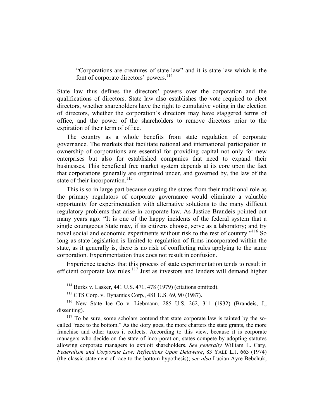"Corporations are creatures of state law" and it is state law which is the font of corporate directors' powers.<sup>114</sup>

State law thus defines the directors' powers over the corporation and the qualifications of directors. State law also establishes the vote required to elect directors, whether shareholders have the right to cumulative voting in the election of directors, whether the corporation's directors may have staggered terms of office, and the power of the shareholders to remove directors prior to the expiration of their term of office.

The country as a whole benefits from state regulation of corporate governance. The markets that facilitate national and international participation in ownership of corporations are essential for providing capital not only for new enterprises but also for established companies that need to expand their businesses. This beneficial free market system depends at its core upon the fact that corporations generally are organized under, and governed by, the law of the state of their incorporation.<sup>115</sup>

This is so in large part because ousting the states from their traditional role as the primary regulators of corporate governance would eliminate a valuable opportunity for experimentation with alternative solutions to the many difficult regulatory problems that arise in corporate law. As Justice Brandeis pointed out many years ago: "It is one of the happy incidents of the federal system that a single courageous State may, if its citizens choose, serve as a laboratory; and try novel social and economic experiments without risk to the rest of country."<sup>116</sup> So long as state legislation is limited to regulation of firms incorporated within the state, as it generally is, there is no risk of conflicting rules applying to the same corporation. Experimentation thus does not result in confusion.

Experience teaches that this process of state experimentation tends to result in efficient corporate law rules.<sup>117</sup> Just as investors and lenders will demand higher

 $117$  To be sure, some scholars contend that state corporate law is tainted by the socalled "race to the bottom." As the story goes, the more charters the state grants, the more franchise and other taxes it collects. According to this view, because it is corporate managers who decide on the state of incorporation, states compete by adopting statutes allowing corporate managers to exploit shareholders. *See generally* William L. Cary, *Federalism and Corporate Law: Reflections Upon Delaware*, 83 YALE L.J. 663 (1974) (the classic statement of race to the bottom hypothesis); *see also* Lucian Ayre Bebchuk,

 <sup>114</sup> Burks v. Lasker, 441 U.S. 471, 478 (1979) (citations omitted).

<sup>115</sup> CTS Corp. v. Dynamics Corp., 481 U.S. 69, 90 (1987).

<sup>116</sup> New State Ice Co v. Liebmann, 285 U.S. 262, 311 (1932) (Brandeis, J., dissenting).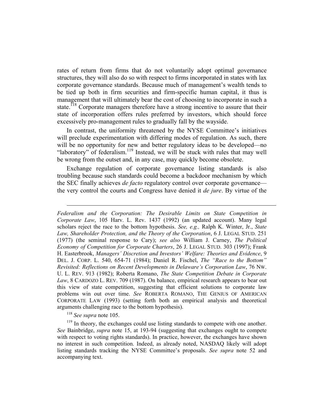rates of return from firms that do not voluntarily adopt optimal governance structures, they will also do so with respect to firms incorporated in states with lax corporate governance standards. Because much of management's wealth tends to be tied up both in firm securities and firm-specific human capital, it thus is management that will ultimately bear the cost of choosing to incorporate in such a state.<sup>118</sup> Corporate managers therefore have a strong incentive to assure that their state of incorporation offers rules preferred by investors, which should force excessively pro-management rules to gradually fall by the wayside.

In contrast, the uniformity threatened by the NYSE Committee's initiatives will preclude experimentation with differing modes of regulation. As such, there will be no opportunity for new and better regulatory ideas to be developed—no "laboratory" of federalism. $119$  Instead, we will be stuck with rules that may well be wrong from the outset and, in any case, may quickly become obsolete.

Exchange regulation of corporate governance listing standards is also troubling because such standards could become a backdoor mechanism by which the SEC finally achieves *de facto* regulatory control over corporate governance the very control the courts and Congress have denied it *de jure*. By virtue of the

<sup>118</sup> *See supra* note 105.

 $\overline{a}$ 

<sup>119</sup> In theory, the exchanges could use listing standards to compete with one another. *See* Bainbridge, *supra* note 15, at 193-94 (suggesting that exchanges ought to compete with respect to voting rights standards). In practice, however, the exchanges have shown no interest in such competition. Indeed, as already noted, NASDAQ likely will adopt listing standards tracking the NYSE Committee's proposals. *See supra* note 52 and accompanying text.

*Federalism and the Corporation: The Desirable Limits on State Competition in Corporate Law*, 105 Harv. L. Rev. 1437 (1992) (an updated account). Many legal scholars reject the race to the bottom hypothesis. *See, e.g.,* Ralph K. Winter, Jr., *State Law, Shareholder Protection, and the Theory of the Corporation*, 6 J. LEGAL STUD. 251 (1977) (the seminal response to Cary); *see also* William J. Carney, *The Political Economy of Competition for Corporate Charters*, 26 J. LEGAL STUD. 303 (1997); Frank H. Easterbrook, *Managers' Discretion and Investors' Welfare: Theories and Evidence*, 9 DEL. J. CORP. L. 540, 654-71 (1984); Daniel R. Fischel, *The "Race to the Bottom" Revisited: Reflections on Recent Developments in Delaware's Corporation Law*, 76 NW. U. L. REV. 913 (1982); Roberta Romano, *The State Competition Debate in Corporate Law*, 8 CARDOZO L. REV. 709 (1987). On balance, empirical research appears to bear out this view of state competition, suggesting that efficient solutions to corporate law problems win out over time. *See* ROBERTA ROMANO, THE GENIUS OF AMERICAN CORPORATE LAW (1993) (setting forth both an empirical analysis and theoretical arguments challenging race to the bottom hypothesis).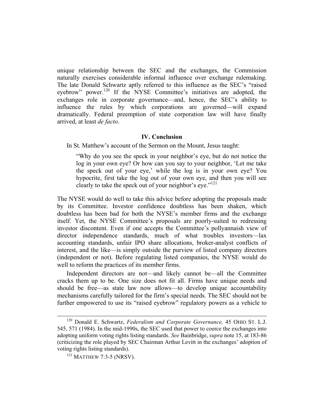unique relationship between the SEC and the exchanges, the Commission naturally exercises considerable informal influence over exchange rulemaking. The late Donald Schwartz aptly referred to this influence as the SEC's "raised eyebrow" power.<sup>120</sup> If the NYSE Committee's initiatives are adopted, the exchanges role in corporate governance—and, hence, the SEC's ability to influence the rules by which corporations are governed—will expand dramatically. Federal preemption of state corporation law will have finally arrived, at least *de facto*.

# **IV. Conclusion**

In St. Matthew's account of the Sermon on the Mount, Jesus taught:

"Why do you see the speck in your neighbor's eye, but do not notice the log in your own eye? Or how can you say to your neighbor, 'Let me take the speck out of your eye,' while the log is in your own eye? You hypocrite, first take the log out of your own eye, and then you will see clearly to take the speck out of your neighbor's eye." $^{121}$ 

The NYSE would do well to take this advice before adopting the proposals made by its Committee. Investor confidence doubtless has been shaken, which doubtless has been bad for both the NYSE's member firms and the exchange itself. Yet, the NYSE Committee's proposals are poorly-suited to redressing investor discontent. Even if one accepts the Committee's pollyannaish view of director independence standards, much of what troubles investors—lax accounting standards, unfair IPO share allocations, broker-analyst conflicts of interest, and the like—is simply outside the purview of listed company directors (independent or not). Before regulating listed companies, the NYSE would do well to reform the practices of its member firms.

Independent directors are not—and likely cannot be—all the Committee cracks them up to be. One size does not fit all. Firms have unique needs and should be free—as state law now allows—to develop unique accountability mechanisms carefully tailored for the firm's special needs. The SEC should not be further empowered to use its "raised eyebrow" regulatory powers as a vehicle to

 <sup>120</sup> Donald E. Schwartz, *Federalism and Corporate Governance,* 45 OHIO ST. L.J. 545, 571 (1984). In the mid-1990s, the SEC used that power to coerce the exchanges into adopting uniform voting rights listing standards. *See* Bainbridge, *supra* note 15, at 183-86 (criticizing the role played by SEC Chairman Arthur Levitt in the exchanges' adoption of voting rights listing standards).

<sup>&</sup>lt;sup>121</sup> MATTHEW 7:3-5 (NRSV).